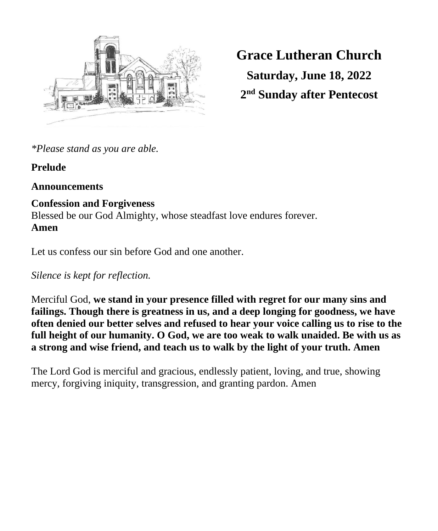

**Grace Lutheran Church Saturday, June 18, 2022 2 nd Sunday after Pentecost**

*\*Please stand as you are able.*

# **Prelude**

# **Announcements**

# **Confession and Forgiveness**

Blessed be our God Almighty, whose steadfast love endures forever. **Amen**

Let us confess our sin before God and one another.

*Silence is kept for reflection.*

Merciful God, **we stand in your presence filled with regret for our many sins and failings. Though there is greatness in us, and a deep longing for goodness, we have often denied our better selves and refused to hear your voice calling us to rise to the full height of our humanity. O God, we are too weak to walk unaided. Be with us as a strong and wise friend, and teach us to walk by the light of your truth. Amen**

The Lord God is merciful and gracious, endlessly patient, loving, and true, showing mercy, forgiving iniquity, transgression, and granting pardon. Amen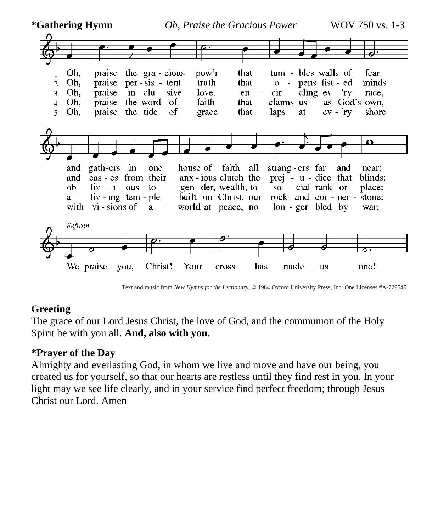

Text and music from *New Hymns for the Lectionary*, © 1984 Oxford University Press, Inc. One Licenses #A-729549

# **Greeting**

The grace of our Lord Jesus Christ, the love of God, and the communion of the Holy Spirit be with you all. **And, also with you.**

## **\*Prayer of the Day**

Almighty and everlasting God, in whom we live and move and have our being, you created us for yourself, so that our hearts are restless until they find rest in you. In your light may we see life clearly, and in your service find perfect freedom; through Jesus Christ our Lord. Amen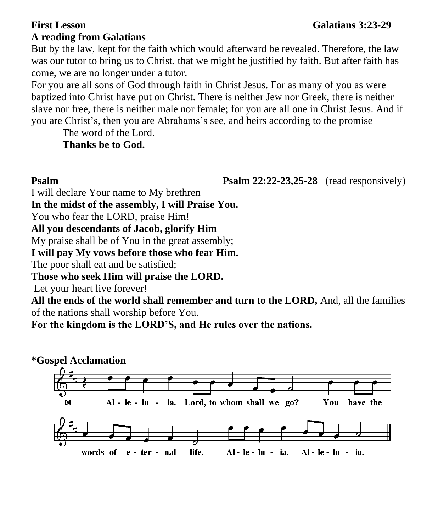## **First Lesson Galatians 3:23-29 A reading from Galatians**

But by the law, kept for the faith which would afterward be revealed. Therefore, the law was our tutor to bring us to Christ, that we might be justified by faith. But after faith has come, we are no longer under a tutor.

For you are all sons of God through faith in Christ Jesus. For as many of you as were baptized into Christ have put on Christ. There is neither Jew nor Greek, there is neither slave nor free, there is neither male nor female; for you are all one in Christ Jesus. And if you are Christ's, then you are Abrahams's see, and heirs according to the promise

The word of the Lord.

**Thanks be to God.** 

**Psalm Psalm Psalm 22:22-23,25-28** (read responsively)

I will declare Your name to My brethren

**In the midst of the assembly, I will Praise You.** 

You who fear the LORD, praise Him!

**All you descendants of Jacob, glorify Him** 

My praise shall be of You in the great assembly;

**I will pay My vows before those who fear Him.**

The poor shall eat and be satisfied;

**Those who seek Him will praise the LORD.**

Let your heart live forever!

**All the ends of the world shall remember and turn to the LORD,** And, all the families of the nations shall worship before You.

**For the kingdom is the LORD'S, and He rules over the nations.** 

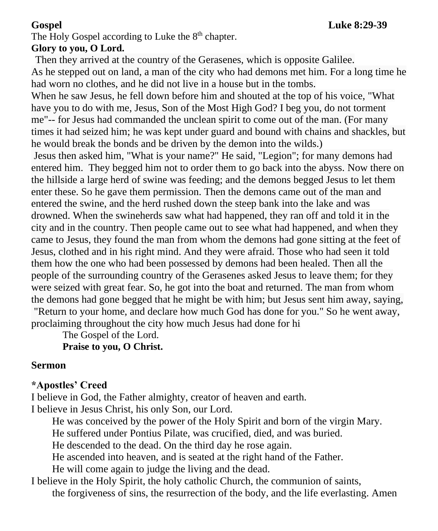The Holy Gospel according to Luke the  $8<sup>th</sup>$  chapter.

# **Glory to you, O Lord.**

 Then they arrived at the country of the Gerasenes, which is opposite Galilee. As he stepped out on land, a man of the city who had demons met him. For a long time he had worn no clothes, and he did not live in a house but in the tombs.

When he saw Jesus, he fell down before him and shouted at the top of his voice, "What have you to do with me, Jesus, Son of the Most High God? I beg you, do not torment me"-- for Jesus had commanded the unclean spirit to come out of the man. (For many times it had seized him; he was kept under guard and bound with chains and shackles, but he would break the bonds and be driven by the demon into the wilds.)

Jesus then asked him, "What is your name?" He said, "Legion"; for many demons had entered him. They begged him not to order them to go back into the abyss. Now there on the hillside a large herd of swine was feeding; and the demons begged Jesus to let them enter these. So he gave them permission. Then the demons came out of the man and entered the swine, and the herd rushed down the steep bank into the lake and was drowned. When the swineherds saw what had happened, they ran off and told it in the city and in the country. Then people came out to see what had happened, and when they came to Jesus, they found the man from whom the demons had gone sitting at the feet of Jesus, clothed and in his right mind. And they were afraid. Those who had seen it told them how the one who had been possessed by demons had been healed. Then all the people of the surrounding country of the Gerasenes asked Jesus to leave them; for they were seized with great fear. So, he got into the boat and returned. The man from whom the demons had gone begged that he might be with him; but Jesus sent him away, saying, "Return to your home, and declare how much God has done for you." So he went away, proclaiming throughout the city how much Jesus had done for hi

The Gospel of the Lord.

**Praise to you, O Christ.**

## **Sermon**

## **\*Apostles' Creed**

I believe in God, the Father almighty, creator of heaven and earth.

I believe in Jesus Christ, his only Son, our Lord.

He was conceived by the power of the Holy Spirit and born of the virgin Mary.

He suffered under Pontius Pilate, was crucified, died, and was buried.

He descended to the dead. On the third day he rose again.

He ascended into heaven, and is seated at the right hand of the Father.

He will come again to judge the living and the dead.

I believe in the Holy Spirit, the holy catholic Church, the communion of saints, the forgiveness of sins, the resurrection of the body, and the life everlasting. Amen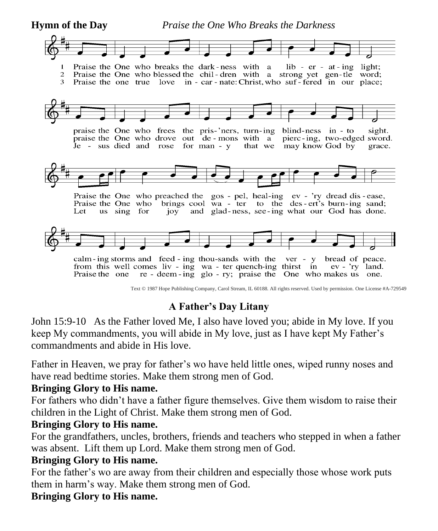**Hymn of the Day** *Praise the One Who Breaks the Darkness*



Text © 1987 Hope Publishing Company, Carol Stream, IL 60188. All rights reserved. Used by permission. One License #A-729549

# **A Father's Day Litany**

John 15:9-10 As the Father loved Me, I also have loved you; abide in My love. If you keep My commandments, you will abide in My love, just as I have kept My Father's commandments and abide in His love.

Father in Heaven, we pray for father's wo have held little ones, wiped runny noses and have read bedtime stories. Make them strong men of God.

## **Bringing Glory to His name.**

For fathers who didn't have a father figure themselves. Give them wisdom to raise their children in the Light of Christ. Make them strong men of God.

## **Bringing Glory to His name.**

For the grandfathers, uncles, brothers, friends and teachers who stepped in when a father was absent.Lift them up Lord. Make them strong men of God.

# **Bringing Glory to His name.**

For the father's wo are away from their children and especially those whose work puts them in harm's way. Make them strong men of God.

# **Bringing Glory to His name.**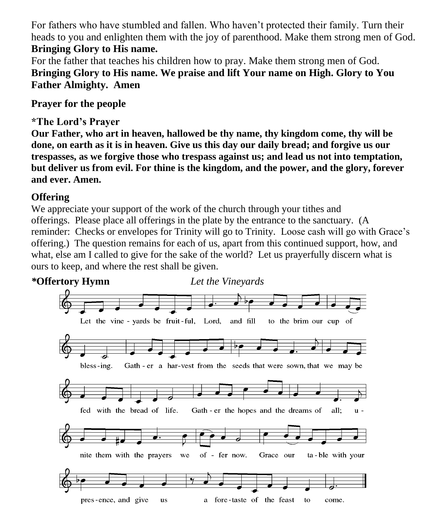For fathers who have stumbled and fallen. Who haven't protected their family. Turn their heads to you and enlighten them with the joy of parenthood. Make them strong men of God. **Bringing Glory to His name.**

For the father that teaches his children how to pray. Make them strong men of God. **Bringing Glory to His name. We praise and lift Your name on High. Glory to You Father Almighty. Amen**

**Prayer for the people**

**\*The Lord's Prayer** 

**Our Father, who art in heaven, hallowed be thy name, thy kingdom come, thy will be done, on earth as it is in heaven. Give us this day our daily bread; and forgive us our trespasses, as we forgive those who trespass against us; and lead us not into temptation, but deliver us from evil. For thine is the kingdom, and the power, and the glory, forever and ever. Amen.**

# **Offering**

We appreciate your support of the work of the church through your tithes and offerings. Please place all offerings in the plate by the entrance to the sanctuary. (A reminder: Checks or envelopes for Trinity will go to Trinity. Loose cash will go with Grace's offering.) The question remains for each of us, apart from this continued support, how, and what, else am I called to give for the sake of the world? Let us prayerfully discern what is ours to keep, and where the rest shall be given.